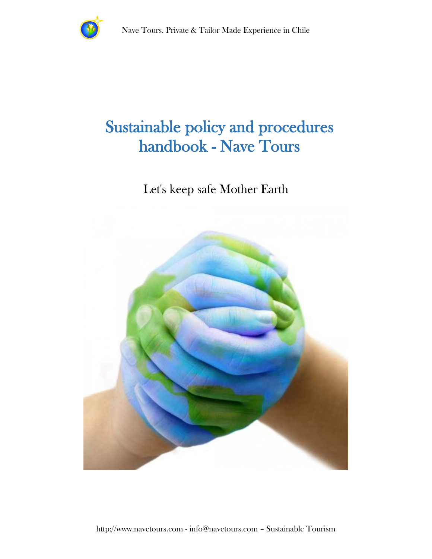

### Sustainable policy and procedures handbook - Nave Tours

### Let's keep safe Mother Earth

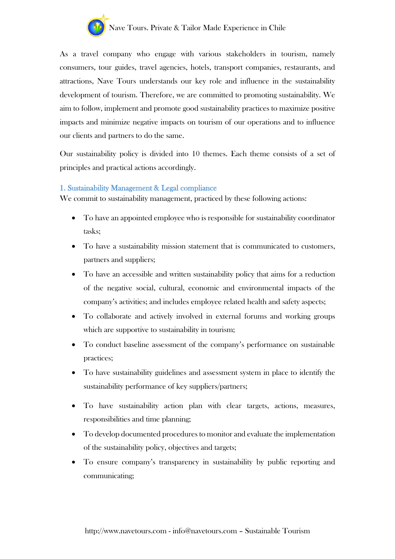

As a travel company who engage with various stakeholders in tourism, namely consumers, tour guides, travel agencies, hotels, transport companies, restaurants, and attractions, Nave Tours understands our key role and influence in the sustainability development of tourism. Therefore, we are committed to promoting sustainability. We aim to follow, implement and promote good sustainability practices to maximize positive impacts and minimize negative impacts on tourism of our operations and to influence our clients and partners to do the same.

Our sustainability policy is divided into 10 themes. Each theme consists of a set of principles and practical actions accordingly.

#### 1. Sustainability Management & Legal compliance

We commit to sustainability management, practiced by these following actions:

- To have an appointed employee who is responsible for sustainability coordinator tasks;
- To have a sustainability mission statement that is communicated to customers, partners and suppliers;
- To have an accessible and written sustainability policy that aims for a reduction of the negative social, cultural, economic and environmental impacts of the company's activities; and includes employee related health and safety aspects;
- To collaborate and actively involved in external forums and working groups which are supportive to sustainability in tourism;
- To conduct baseline assessment of the company's performance on sustainable practices;
- To have sustainability guidelines and assessment system in place to identify the sustainability performance of key suppliers/partners;
- To have sustainability action plan with clear targets, actions, measures, responsibilities and time planning;
- To develop documented procedures to monitor and evaluate the implementation of the sustainability policy, objectives and targets;
- To ensure company's transparency in sustainability by public reporting and communicating;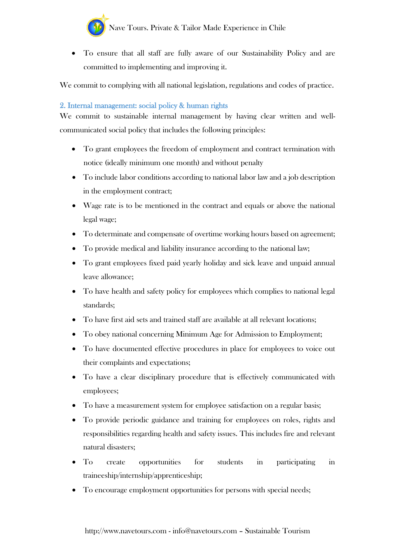

• To ensure that all staff are fully aware of our Sustainability Policy and are committed to implementing and improving it.

We commit to complying with all national legislation, regulations and codes of practice.

#### 2. Internal management: social policy & human rights

We commit to sustainable internal management by having clear written and wellcommunicated social policy that includes the following principles:

- To grant employees the freedom of employment and contract termination with notice (ideally minimum one month) and without penalty
- To include labor conditions according to national labor law and a job description in the employment contract;
- Wage rate is to be mentioned in the contract and equals or above the national legal wage;
- To determinate and compensate of overtime working hours based on agreement;
- To provide medical and liability insurance according to the national law;
- To grant employees fixed paid yearly holiday and sick leave and unpaid annual leave allowance;
- To have health and safety policy for employees which complies to national legal standards;
- To have first aid sets and trained staff are available at all relevant locations;
- To obey national concerning Minimum Age for Admission to Employment;
- To have documented effective procedures in place for employees to voice out their complaints and expectations;
- To have a clear disciplinary procedure that is effectively communicated with employees;
- To have a measurement system for employee satisfaction on a regular basis;
- To provide periodic guidance and training for employees on roles, rights and responsibilities regarding health and safety issues. This includes fire and relevant natural disasters;
- To create opportunities for students in participating in traineeship/internship/apprenticeship;
- To encourage employment opportunities for persons with special needs;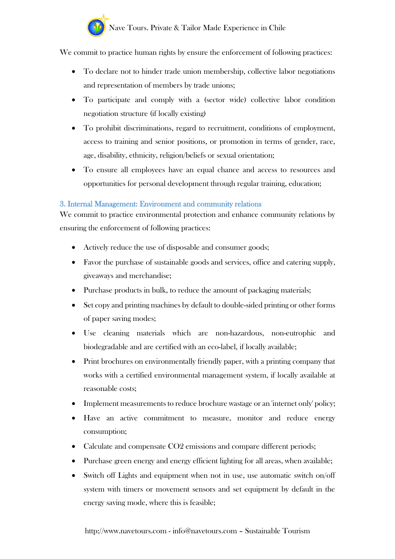We commit to practice human rights by ensure the enforcement of following practices:

- To declare not to hinder trade union membership, collective labor negotiations and representation of members by trade unions;
- To participate and comply with a (sector wide) collective labor condition negotiation structure (if locally existing)
- To prohibit discriminations, regard to recruitment, conditions of employment, access to training and senior positions, or promotion in terms of gender, race, age, disability, ethnicity, religion/beliefs or sexual orientation;
- To ensure all employees have an equal chance and access to resources and opportunities for personal development through regular training, education;

#### 3. Internal Management: Environment and community relations

We commit to practice environmental protection and enhance community relations by ensuring the enforcement of following practices:

- Actively reduce the use of disposable and consumer goods;
- Favor the purchase of sustainable goods and services, office and catering supply, giveaways and merchandise;
- Purchase products in bulk, to reduce the amount of packaging materials;
- Set copy and printing machines by default to double-sided printing or other forms of paper saving modes;
- Use cleaning materials which are non-hazardous, non-eutrophic and biodegradable and are certified with an eco-label, if locally available;
- Print brochures on environmentally friendly paper, with a printing company that works with a certified environmental management system, if locally available at reasonable costs;
- Implement measurements to reduce brochure wastage or an 'internet only' policy;
- Have an active commitment to measure, monitor and reduce energy consumption;
- Calculate and compensate CO2 emissions and compare different periods;
- Purchase green energy and energy efficient lighting for all areas, when available;
- Switch off Lights and equipment when not in use, use automatic switch on/off system with timers or movement sensors and set equipment by default in the energy saving mode, where this is feasible;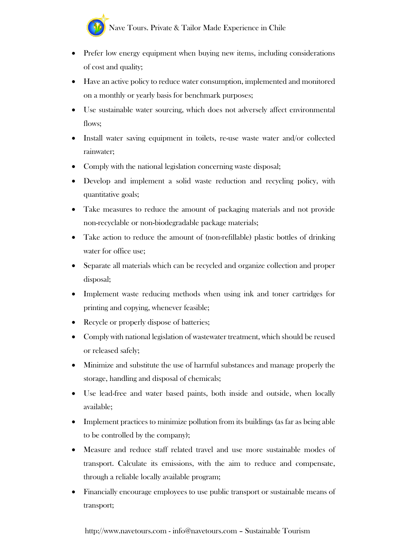

- Prefer low energy equipment when buying new items, including considerations of cost and quality;
- Have an active policy to reduce water consumption, implemented and monitored on a monthly or yearly basis for benchmark purposes;
- Use sustainable water sourcing, which does not adversely affect environmental flows:
- Install water saving equipment in toilets, re-use waste water and/or collected rainwater;
- Comply with the national legislation concerning waste disposal;
- Develop and implement a solid waste reduction and recycling policy, with quantitative goals;
- Take measures to reduce the amount of packaging materials and not provide non-recyclable or non-biodegradable package materials;
- Take action to reduce the amount of (non-refillable) plastic bottles of drinking water for office use;
- Separate all materials which can be recycled and organize collection and proper disposal;
- Implement waste reducing methods when using ink and toner cartridges for printing and copying, whenever feasible;
- Recycle or properly dispose of batteries;
- Comply with national legislation of wastewater treatment, which should be reused or released safely;
- Minimize and substitute the use of harmful substances and manage properly the storage, handling and disposal of chemicals;
- Use lead-free and water based paints, both inside and outside, when locally available;
- Implement practices to minimize pollution from its buildings (as far as being able to be controlled by the company);
- Measure and reduce staff related travel and use more sustainable modes of transport. Calculate its emissions, with the aim to reduce and compensate, through a reliable locally available program;
- Financially encourage employees to use public transport or sustainable means of transport;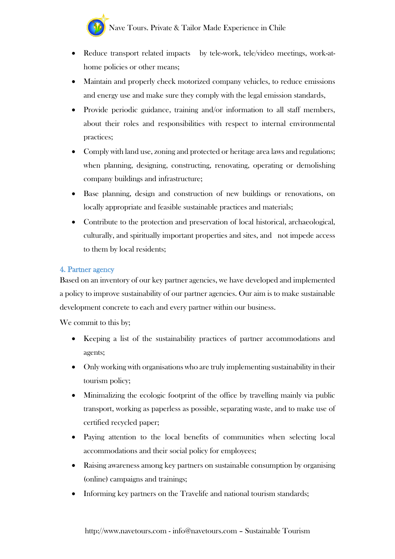- Reduce transport related impacts by tele-work, tele/video meetings, work-athome policies or other means;
- Maintain and properly check motorized company vehicles, to reduce emissions and energy use and make sure they comply with the legal emission standards,
- Provide periodic guidance, training and/or information to all staff members, about their roles and responsibilities with respect to internal environmental practices;
- Comply with land use, zoning and protected or heritage area laws and regulations; when planning, designing, constructing, renovating, operating or demolishing company buildings and infrastructure;
- Base planning, design and construction of new buildings or renovations, on locally appropriate and feasible sustainable practices and materials;
- Contribute to the protection and preservation of local historical, archaeological, culturally, and spiritually important properties and sites, and not impede access to them by local residents;

#### 4. Partner agency

Based on an inventory of our key partner agencies, we have developed and implemented a policy to improve sustainability of our partner agencies. Our aim is to make sustainable development concrete to each and every partner within our business.

- Keeping a list of the sustainability practices of partner accommodations and agents;
- Only working with organisations who are truly implementing sustainability in their tourism policy;
- Minimalizing the ecologic footprint of the office by travelling mainly via public transport, working as paperless as possible, separating waste, and to make use of certified recycled paper;
- Paying attention to the local benefits of communities when selecting local accommodations and their social policy for employees;
- Raising awareness among key partners on sustainable consumption by organising (online) campaigns and trainings;
- Informing key partners on the Travelife and national tourism standards;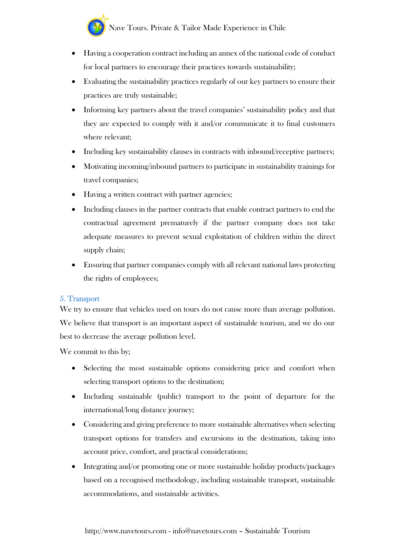- Having a cooperation contract including an annex of the national code of conduct for local partners to encourage their practices towards sustainability;
- Evaluating the sustainability practices regularly of our key partners to ensure their practices are truly sustainable;
- Informing key partners about the travel companies' sustainability policy and that they are expected to comply with it and/or communicate it to final customers where relevant;
- Including key sustainability clauses in contracts with inbound/receptive partners;
- Motivating incoming/inbound partners to participate in sustainability trainings for travel companies;
- Having a written contract with partner agencies;
- Including clauses in the partner contracts that enable contract partners to end the contractual agreement prematurely if the partner company does not take adequate measures to prevent sexual exploitation of children within the direct supply chain;
- Ensuring that partner companies comply with all relevant national laws protecting the rights of employees;

#### 5. Transport

We try to ensure that vehicles used on tours do not cause more than average pollution. We believe that transport is an important aspect of sustainable tourism, and we do our best to decrease the average pollution level.

- Selecting the most sustainable options considering price and comfort when selecting transport options to the destination;
- Including sustainable (public) transport to the point of departure for the international/long distance journey;
- Considering and giving preference to more sustainable alternatives when selecting transport options for transfers and excursions in the destination, taking into account price, comfort, and practical considerations;
- Integrating and/or promoting one or more sustainable holiday products/packages based on a recognised methodology, including sustainable transport, sustainable accommodations, and sustainable activities.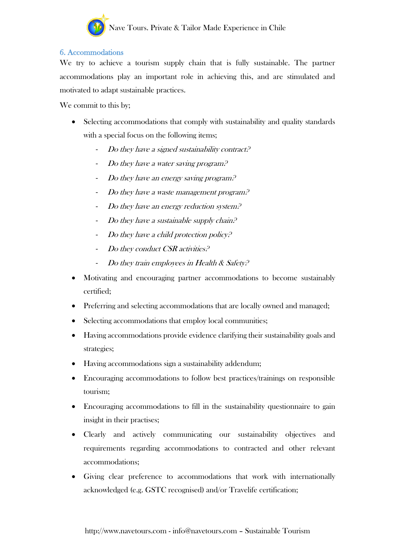

#### 6. Accommodations

We try to achieve a tourism supply chain that is fully sustainable. The partner accommodations play an important role in achieving this, and are stimulated and motivated to adapt sustainable practices.

- Selecting accommodations that comply with sustainability and quality standards with a special focus on the following items;
	- Do they have a signed sustainability contract?
	- Do they have a water saving program.<sup>9</sup>
	- Do they have an energy saving program.<sup>9</sup>
	- Do they have a waste management program.<sup>2</sup>
	- Do they have an energy reduction system.<sup>2</sup>
	- Do they have a sustainable supply chain. $P$
	- Do they have a child protection policy.<sup>2</sup>
	- Do they conduct CSR activities.<sup>2</sup>
	- Do they train employees in Health & Safety?
- Motivating and encouraging partner accommodations to become sustainably certified;
- Preferring and selecting accommodations that are locally owned and managed;
- Selecting accommodations that employ local communities;
- Having accommodations provide evidence clarifying their sustainability goals and strategies;
- Having accommodations sign a sustainability addendum;
- Encouraging accommodations to follow best practices/trainings on responsible tourism;
- Encouraging accommodations to fill in the sustainability questionnaire to gain insight in their practises;
- Clearly and actively communicating our sustainability objectives and requirements regarding accommodations to contracted and other relevant accommodations;
- Giving clear preference to accommodations that work with internationally acknowledged (e.g. GSTC recognised) and/or Travelife certification;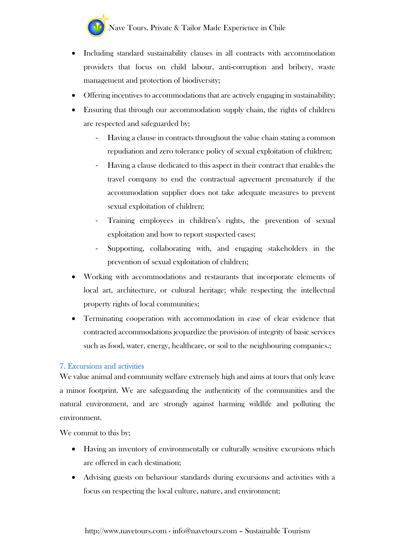

- Including standard sustainability clauses in all contracts with accommodation providers that focus on child labour, anti-corruption and bribery, waste management and protection of biodiversity;
- Offering incentives to accommodations that are actively engaging in sustainability;
- Ensuring that through our accommodation supply chain, the rights of children are respected and safeguarded by;
	- Having a clause in contracts throughout the value chain stating a common repudiation and zero tolerance policy of sexual exploitation of children;
	- Having a clause dedicated to this aspect in their contract that enables the travel company to end the contractual agreement prematurely if the accommodation supplier does not take adequate measures to prevent sexual exploitation of children;
	- Training employees in children's rights, the prevention of sexual exploitation and how to report suspected cases;
	- Supporting, collaborating with, and engaging stakeholders in the prevention of sexual exploitation of children;
- Working with accommodations and restaurants that incorporate elements of local art, architecture, or cultural heritage; while respecting the intellectual property rights of local communities;
- Terminating cooperation with accommodation in case of clear evidence that contracted accommodations jeopardize the provision of integrity of basic services such as food, water, energy, healthcare, or soil to the neighbouring companies.;

#### 7. Excursions and activities

We value animal and community welfare extremely high and aims at tours that only leave a minor footprint. We are safeguarding the authenticity of the communities and the natural environment, and are strongly against harming wildlife and polluting the environment.

- Having an inventory of environmentally or culturally sensitive excursions which are offered in each destination;
- Advising guests on behaviour standards during excursions and activities with a focus on respecting the local culture, nature, and environment;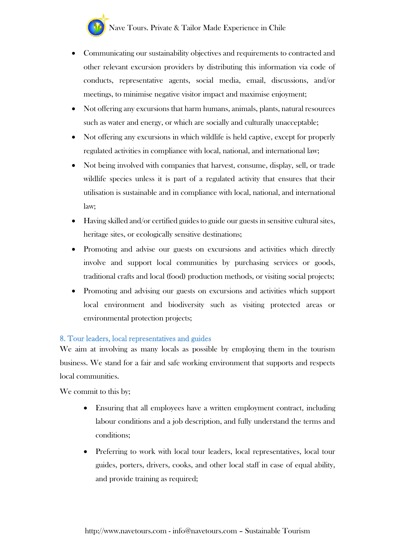- Communicating our sustainability objectives and requirements to contracted and other relevant excursion providers by distributing this information via code of conducts, representative agents, social media, email, discussions, and/or meetings, to minimise negative visitor impact and maximise enjoyment;
- Not offering any excursions that harm humans, animals, plants, natural resources such as water and energy, or which are socially and culturally unacceptable;
- Not offering any excursions in which wildlife is held captive, except for properly regulated activities in compliance with local, national, and international law;
- Not being involved with companies that harvest, consume, display, sell, or trade wildlife species unless it is part of a regulated activity that ensures that their utilisation is sustainable and in compliance with local, national, and international law;
- Having skilled and/or certified guides to guide our guests in sensitive cultural sites, heritage sites, or ecologically sensitive destinations;
- Promoting and advise our guests on excursions and activities which directly involve and support local communities by purchasing services or goods, traditional crafts and local (food) production methods, or visiting social projects;
- Promoting and advising our guests on excursions and activities which support local environment and biodiversity such as visiting protected areas or environmental protection projects;

#### 8. Tour leaders, local representatives and guides

We aim at involving as many locals as possible by employing them in the tourism business. We stand for a fair and safe working environment that supports and respects local communities.

- Ensuring that all employees have a written employment contract, including labour conditions and a job description, and fully understand the terms and conditions;
- Preferring to work with local tour leaders, local representatives, local tour guides, porters, drivers, cooks, and other local staff in case of equal ability, and provide training as required;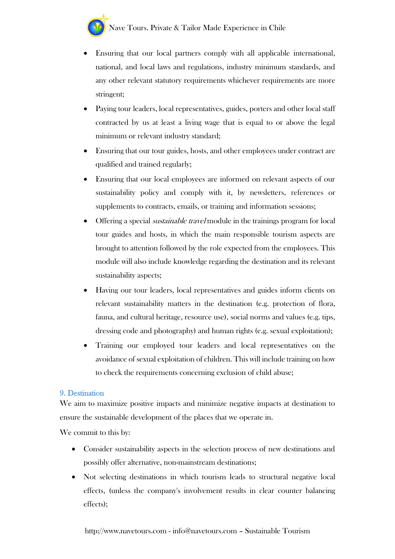- Ensuring that our local partners comply with all applicable international, national, and local laws and regulations, industry minimum standards, and any other relevant statutory requirements whichever requirements are more stringent;
- Paying tour leaders, local representatives, guides, porters and other local staff contracted by us at least a living wage that is equal to or above the legal minimum or relevant industry standard;
- Ensuring that our tour guides, hosts, and other employees under contract are qualified and trained regularly;
- Ensuring that our local employees are informed on relevant aspects of our sustainability policy and comply with it, by newsletters, references or supplements to contracts, emails, or training and information sessions;
- Offering a special *sustainable travel* module in the trainings program for local tour guides and hosts, in which the main responsible tourism aspects are brought to attention followed by the role expected from the employees. This module will also include knowledge regarding the destination and its relevant sustainability aspects;
- Having our tour leaders, local representatives and guides inform clients on relevant sustainability matters in the destination (e.g. protection of flora, fauna, and cultural heritage, resource use), social norms and values (e.g. tips, dressing code and photography) and human rights (e.g. sexual exploitation);
- Training our employed tour leaders and local representatives on the avoidance of sexual exploitation of children. This will include training on how to check the requirements concerning exclusion of child abuse;

#### 9. Destination

We aim to maximize positive impacts and minimize negative impacts at destination to ensure the sustainable development of the places that we operate in.

- Consider sustainability aspects in the selection process of new destinations and possibly offer alternative, non-mainstream destinations;
- Not selecting destinations in which tourism leads to structural negative local effects, (unless the company's involvement results in clear counter balancing effects);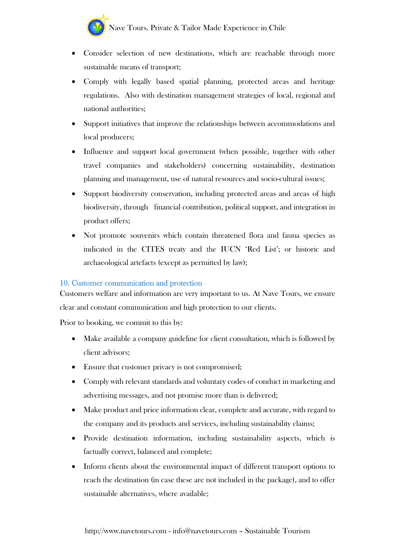

- Consider selection of new destinations, which are reachable through more sustainable means of transport;
- Comply with legally based spatial planning, protected areas and heritage regulations. Also with destination management strategies of local, regional and national authorities;
- Support initiatives that improve the relationships between accommodations and local producers;
- Influence and support local government (when possible, together with other travel companies and stakeholders) concerning sustainability, destination planning and management, use of natural resources and socio-cultural issues;
- Support biodiversity conservation, including protected areas and areas of high biodiversity, through financial contribution, political support, and integration in product offers;
- Not promote souvenirs which contain threatened flora and fauna species as indicated in the CITES treaty and the IUCN 'Red List'; or historic and archaeological artefacts (except as permitted by law);

#### 10. Customer communication and protection

Customers welfare and information are very important to us. At Nave Tours, we ensure clear and constant communication and high protection to our clients.

Prior to booking, we commit to this by:

- Make available a company guideline for client consultation, which is followed by client advisors;
- Ensure that customer privacy is not compromised;
- Comply with relevant standards and voluntary codes of conduct in marketing and advertising messages, and not promise more than is delivered;
- Make product and price information clear, complete and accurate, with regard to the company and its products and services, including sustainability claims;
- Provide destination information, including sustainability aspects, which is factually correct, balanced and complete;
- Inform clients about the environmental impact of different transport options to reach the destination (in case these are not included in the package), and to offer sustainable alternatives, where available;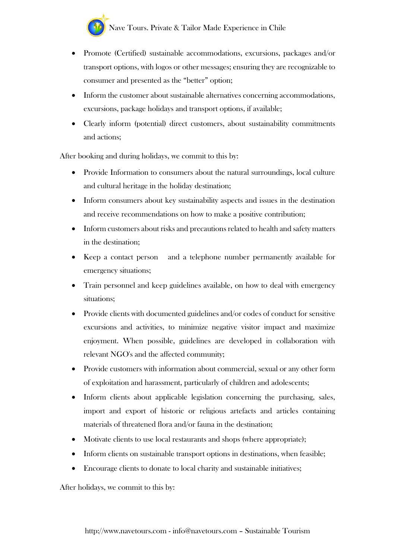- Promote (Certified) sustainable accommodations, excursions, packages and/or transport options, with logos or other messages; ensuring they are recognizable to consumer and presented as the "better" option;
- Inform the customer about sustainable alternatives concerning accommodations, excursions, package holidays and transport options, if available;
- Clearly inform (potential) direct customers, about sustainability commitments and actions;

After booking and during holidays, we commit to this by:

- Provide Information to consumers about the natural surroundings, local culture and cultural heritage in the holiday destination;
- Inform consumers about key sustainability aspects and issues in the destination and receive recommendations on how to make a positive contribution;
- Inform customers about risks and precautions related to health and safety matters in the destination;
- Keep a contact person and a telephone number permanently available for emergency situations;
- Train personnel and keep guidelines available, on how to deal with emergency situations;
- Provide clients with documented guidelines and/or codes of conduct for sensitive excursions and activities, to minimize negative visitor impact and maximize enjoyment. When possible, guidelines are developed in collaboration with relevant NGO's and the affected community;
- Provide customers with information about commercial, sexual or any other form of exploitation and harassment, particularly of children and adolescents;
- Inform clients about applicable legislation concerning the purchasing, sales, import and export of historic or religious artefacts and articles containing materials of threatened flora and/or fauna in the destination;
- Motivate clients to use local restaurants and shops (where appropriate);
- Inform clients on sustainable transport options in destinations, when feasible;
- Encourage clients to donate to local charity and sustainable initiatives;

After holidays, we commit to this by: